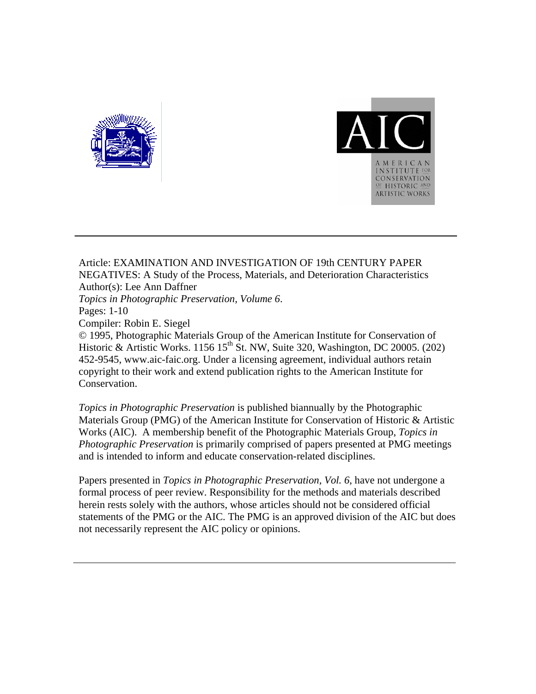



Article: EXAMINATION AND INVESTIGATION OF 19th CENTURY PAPER NEGATIVES: A Study of the Process, Materials, and Deterioration Characteristics Author(s): Lee Ann Daffner *Topics in Photographic Preservation, Volume 6*. Pages: 1-10 Compiler: Robin E. Siegel © 1995, Photographic Materials Group of the American Institute for Conservation of Historic & Artistic Works. 1156  $15^{th}$  St. NW, Suite 320, Washington, DC 20005. (202) 452-9545, www.aic-faic.org. Under a licensing agreement, individual authors retain copyright to their work and extend publication rights to the American Institute for Conservation.

*Topics in Photographic Preservation* is published biannually by the Photographic Materials Group (PMG) of the American Institute for Conservation of Historic & Artistic Works (AIC). A membership benefit of the Photographic Materials Group, *Topics in Photographic Preservation* is primarily comprised of papers presented at PMG meetings and is intended to inform and educate conservation-related disciplines.

Papers presented in *Topics in Photographic Preservation, Vol. 6*, have not undergone a formal process of peer review. Responsibility for the methods and materials described herein rests solely with the authors, whose articles should not be considered official statements of the PMG or the AIC. The PMG is an approved division of the AIC but does not necessarily represent the AIC policy or opinions.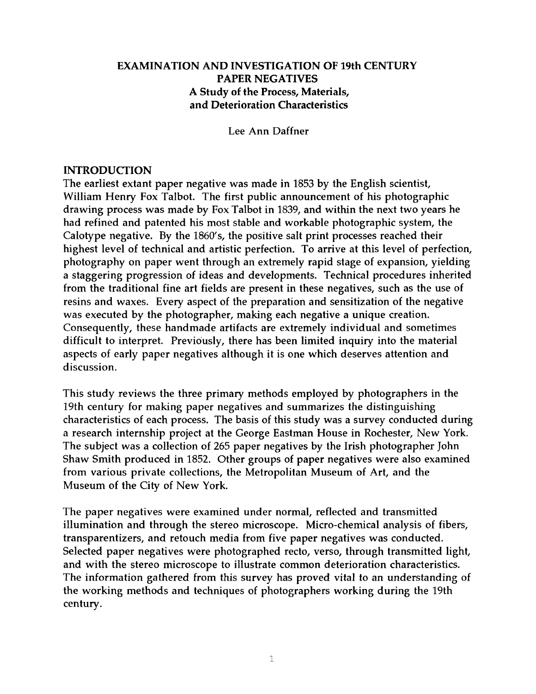## EXAMINATION AND INVESTIGATION OF 19th CENTURY PAPER NEGATIVES A Study of the Process, Materials, and Deterioration Characteristics

Lee Ann Daffner

### INTRODUCTION

The earliest extant paper negative was made in 1853 by the English scientist, William Henry Fox Talbot. The first public announcement of his photographic drawing process was made by Fox Talbot in 1839, and within the next two years he had refined and patented his most stable and workable photographic system, the Calotype negative. By the 1860's, the positive salt print processes reached their highest level of technical and artistic perfection. To arrive at this level of perfection, photography on paper went through an extremely rapid stage of expansion, yielding a staggering progression of ideas and developments. Technical procedures inherited from the traditional fine art fields are present in these negatives, such as the use of resins and waxes. Every aspect of the preparation and sensitization of the negative was executed by the photographer, making each negative a unique creation. Consequently, these handmade artifacts are extremely individual and sometimes difficult to interpret. Previously, there has been limited inquiry into the material aspects of early paper negatives although it is one which deserves attention and discussion.

This study reviews the three primary methods employed by photographers in the 19th century for making paper negatives and summarizes the distinguishing characteristics of each process. The basis of this study was a survey conducted during a research internship project at the George Eastman House in Rochester, New York. The subject was a collection of 265 paper negatives by the Irish photographer John Shaw Smith produced in 1852. Other groups of paper negatives were also examined from various private collections, the Metropolitan Museum of Art, and the Museum of the City of New York.

The paper negatives were examined under normal, reflected and transmitted illumination and through the stereo microscope. Micro-chemical analysis of fibers, transparentizers, and retouch media from five paper negatives was conducted. Selected paper negatives were photographed recto, verso, through transmitted light, and with the stereo microscope to illustrate common deterioration characteristics. The information gathered from this survey has proved vital to an understanding of the working methods and techniques of photographers working during the 19th century.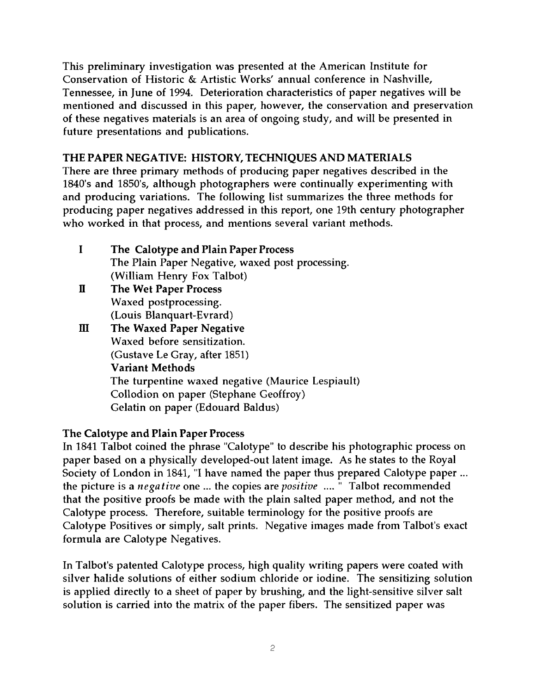This preliminary investigation was presented at the American Institute for Conservation of Historic & Artistic Works' annual conference in Nashville, Tennessee, in June of 1994. Deterioration characteristics of paper negatives will be mentioned and discussed in this paper, however, the conservation and preservation of these negatives materials is an area of ongoing study, and will be presented in future presentations and publications.

## THE PAPER NEGATIVE: HISTORY, TECHNIQUES AND MATERIALS

There are three primary methods of producing paper negatives described in the 1840's and 1850's, although photographers were continually experimenting with and producing variations. The following list summarizes the three methods for producing paper negatives addressed in this report, one 19th century photographer who worked in that process, and mentions several variant methods.

- I The Calotype and Plain Paper Process The Plain Paper Negative, waxed post processing. (William Henry Fox Talbot)
- **II** The Wet Paper Process Waxed postprocessing. (Louis Blanquart-Evrard)
- III The Waxed Paper Negative Waxed before sensitization. (Gustave Le Gray, after 1851) Variant Methods The turpentine waxed negative (Maurice Lespiault) Collodion on paper (Stephane Geoffroy) Gelatin on paper (Edouard Baldus)

## The Calotype and Plain Paper Process

In 1841 Talbot coined the phrase "Calotype" to describe his photographic process on paper based on a physically developed-out latent image. As he states to the Royal Society of London in 1841, "I have named the paper thus prepared Calotype paper ... the picture is a *negafive* one ... the copies are *positive* .... " Talbot recommended that the positive proofs be made with the plain salted paper method, and not the Calotype process. Therefore, suitable terminology for the positive proofs are Calotype Positives or simply, salt prints. Negative images made from Talbot's exact formula are Calotype Negatives.

In Talbot's patented Calotype process, high quality writing papers were coated with silver halide solutions of either sodium chloride or iodine. The sensitizing solution is applied directly to a sheet of paper by brushing, and the light-sensitive silver salt solution is carried into the matrix of the paper fibers. The sensitized paper was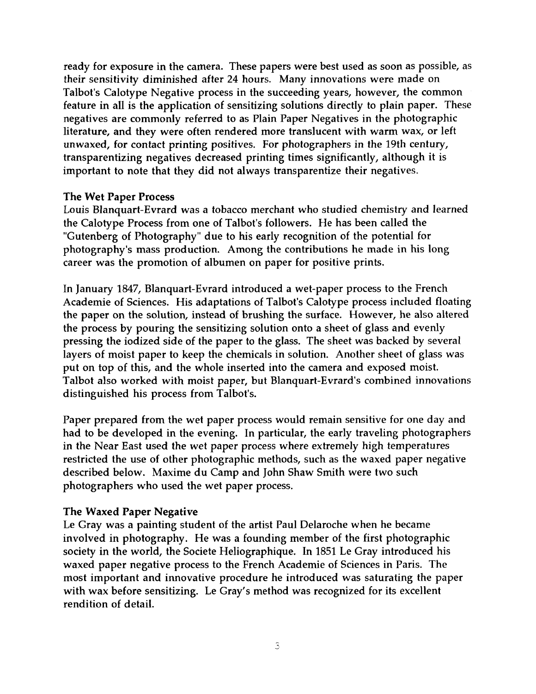ready for exposure in the camera. These papers were best used as soon as possible, as their sensitivity diminished after 24 hours. Many innovations were made on Talbot's Calotype Negative process in the succeeding years, however, the common feature in all is the application of sensitizing solutions directly to plain paper. These negatives are commonly referred to as Plain Paper Negatives in the photographic literature, and they were often rendered more translucent with warm wax, or left unwaxed, for contact printing positives. For photographers in the 19th century, transparentizing negatives decreased printing times significantly, although it is important to note that they did not always transparentize their negatives.

## The Wet Paper Process

Louis Blanquart-Evrard was a tobacco merchant who studied chemistry and learned the Calotype Process from one of Talbot's followers. He has been called the "Gutenberg of Photography" due to his early recognition of the potential for photography's mass production. Among the contributions he made in his long career was the promotion of albumen on paper for positive prints.

In January 1847, Blanquart-Evrard introduced a wet-paper process to the French Academie of Sciences. His adaptations of Talbot's Calotype process included floating the paper on the solution, instead of brushing the surface. However, he also altered the process by pouring the sensitizing solution onto a sheet of glass and evenly pressing the iodized side of the paper to the glass. The sheet was backed by several layers of moist paper to keep the chemicals in solution. Another sheet of glass was put on top of this, and the whole inserted into the camera and exposed moist. Talbot also worked with moist paper, but Blanquart-Evrard's combined innovations distinguished his process from Talbot's.

Paper prepared from the wet paper process would remain sensitive for one day and had to be developed in the evening. In particular, the early traveling photographers in the Near East used the wet paper process where extremely high temperatures restricted the use of other photographic methods, such as the waxed paper negative described below. Maxime du Camp and John Shaw Smith were two such photographers who used the wet paper process.

## The Waxed Paper Negative

Le Gray was a painting student of the artist Paul Delaroche when he became involved in photography. He was a founding member of the first photographic society in the world, the Societe Heliographique. In 1851 Le Gray introduced his waxed paper negative process to the French Academie of Sciences in Paris. The most important and innovative procedure he introduced was saturating the paper with wax before sensitizing. Le Gray's method was recognized for its excellent rendition of detail.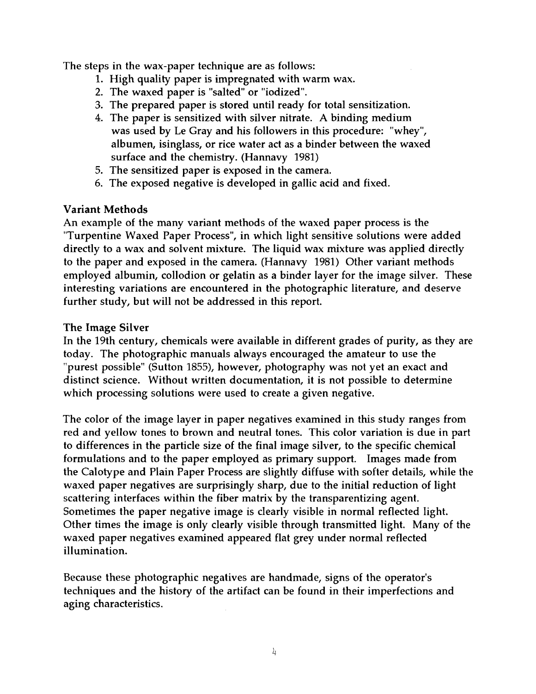The steps in the wax-paper technique are as follows:

- 1. High quality paper is impregnated with warm wax.
- 2. The waxed paper is "salted" or "iodized".
- 3. The prepared paper is stored until ready for total sensitization.
- **4.** The paper is sensitized with silver nitrate. **A** binding medium was used by Le Gray and his followers in this procedure: "whey", albumen, isinglass, or rice water act as a binder between the waxed surface and the chemistry. (Hannavy 1981)
- 5. The sensitized paper is exposed in the camera.
- 6. The exposed negative is developed in gallic acid and fixed.

# Variant Methods

An example of the many variant methods of the waxed paper process is the "Turpentine Waxed Paper Process", in which light sensitive solutions were added directly to a wax and solvent mixture. The liquid wax mixture was applied directly to the paper and exposed in the camera. (Hannavy 1981) Other variant methods employed albumin, collodion or gelatin as a binder layer for the image silver. These interesting variations are encountered in the photographic literature, and deserve further study, but will not be addressed in this report.

# The Image Silver

In the 19th century, chemicals were available in different grades of purity, as they are today. The photographic manuals always encouraged the amateur to use the "purest possible" (Sutton 1855), however, photography was not yet an exact and distinct science. Without written documentation, it is not possible to determine which processing solutions were used to create a given negative.

The color of the image layer in paper negatives examined in this study ranges from red and yellow tones to brown and neutral tones. This color variation is due in part to differences in the particle size of the final image silver, to the specific chemical formulations and to the paper employed as primary support. Images made from the Calotype and Plain Paper Process are slightly diffuse with softer details, while the waxed paper negatives are surprisingly sharp, due to the initial reduction of light scattering interfaces within the fiber matrix by the transparentizing agent. Sometimes the paper negative image is clearly visible in normal reflected light. Other times the image is only clearly visible through transmitted light. Many of the waxed paper negatives examined appeared flat grey under normal reflected illumination.

Because these photographic negatives are handmade, signs of the operator's techniques and the history of the artifact can be found in their imperfections and aging characteristics.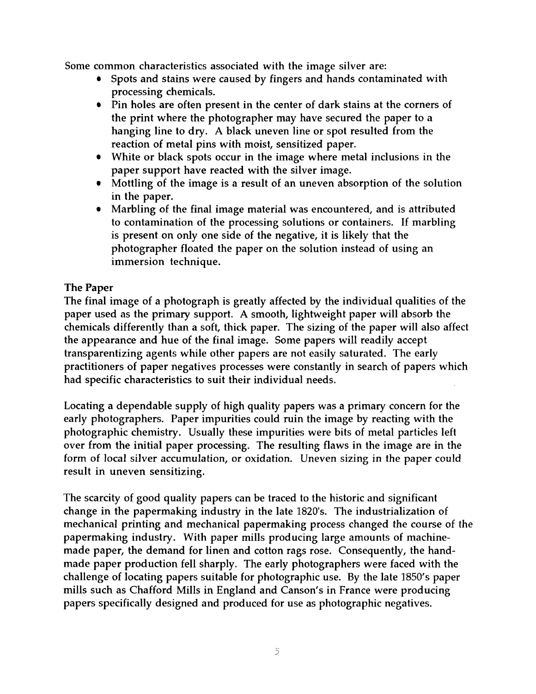Some common characteristics associated with the image silver are:

- Spots and stains were caused by fingers and hands contaminated with processing chemicals.
- Pin holes are often present in the center of dark stains at the corners of the print where the photographer may have secured the paper to a hanging line to dry. A black uneven line or spot resulted from the reaction of metal pins with moist, sensitized paper.
- White or black spots occur in the image where metal inclusions in the paper support have reacted with the silver image.
- Mottling of the image is a result of an uneven absorption of the solution in the paper.
- Marbling of the final image material was encountered, and is attributed to contamination of the processing solutions or containers. If marbling is present on only one side of the negative, it is likely that the photographer floated the paper on the solution instead of using an immersion technique.

# The Paper

The final image of a photograph is greatly affected by the individual qualities of the paper used as the primary support. A smooth, lightweight paper will absorb the chemicals differently than a soft, thick paper. The sizing of the paper will also affect the appearance and hue of the final image. Some papers will readily accept transparentizing agents while other papers are not easily saturated. The early practitioners of paper negatives processes were constantly in search of papers which had specific characteristics to suit their individual needs.

Locating a dependable supply of high quality papers was a primary concern for the early photographers. Paper impurities could ruin the image by reacting with the photographic chemistry. Usually these impurities were bits of metal particles left over from the initial paper processing. The resulting flaws in the image are in the form of local silver accumulation, or oxidation. Uneven sizing in the paper could result in uneven sensitizing.

The scarcity of good quality papers can be traced to the historic and significant change in the papermaking industry in the late 1820's. The industrialization of mechanical printing and mechanical papermaking process changed the course of the papermaking industry. With paper mills producing large amounts of machinemade paper, the demand for linen and cotton rags rose. Consequently, the handmade paper production fell sharply. The early photographers were faced with the challenge of locating papers suitable for photographic use. By the late 1850's paper mills such as Chafford Mills in England and Canson's in France were producing papers specifically designed and produced for use as photographic negatives.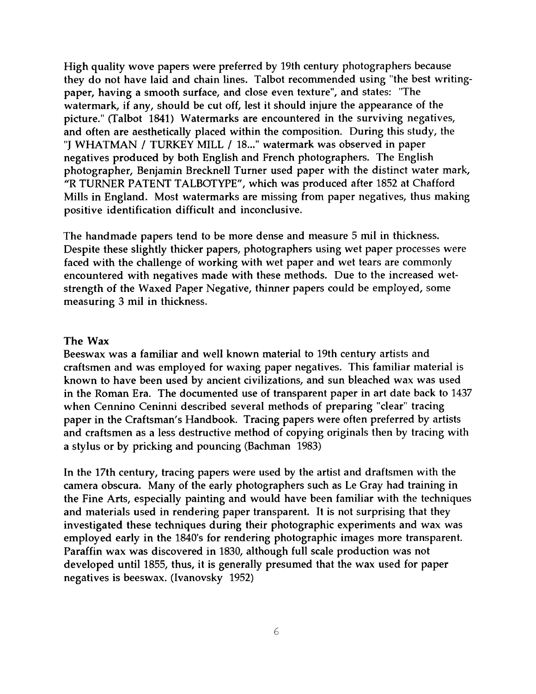High quality wove papers were preferred by 19th century photographers because they do not have laid and chain lines. Talbot recommended using "the best writingpaper, having a smooth surface, and close even texture", and states: "The watermark, if any, should be cut off, lest it should injure the appearance of the picture." (Talbot 1841) Watermarks are encountered in the surviving negatives, and often are aesthetically placed within the composition. During this study, the "J WHATMAN / TURKEY MILL / 18..." watermark was observed in paper negatives produced by both English and French photographers. The English photographer, Benjamin Brecknell Turner used paper with the distinct water mark, "R TURNER PATENT TALBOTYPE", which was produced after 1852 at Chafford Mills in England. Most watermarks are missing from paper negatives, thus making positive identification difficult and inconclusive.

The handmade papers tend to be more dense and measure 5 mil in thickness. Despite these slightly thicker papers, photographers using wet paper processes were faced with the challenge of working with wet paper and wet tears are commonly encountered with negatives made with these methods. Due to the increased wetstrength of the Waxed Paper Negative, thinner papers could be employed, some measuring 3 mil in thickness.

### The **Wax**

Beeswax was a familiar and well known material to 19th century artists and craftsmen and was employed for waxing paper negatives. This familiar material is known to have been used by ancient civilizations, and sun bleached wax was used in the Roman Era. The documented use of transparent paper in art date back to 1437 when Cennino Ceninni described several methods of preparing "clear" tracing paper in the Craftsman's Handbook. Tracing papers were often preferred by artists and craftsmen as a less destructive method of copying originals then by tracing with a stylus or by pricking and pouncing (Bachman 1983)

In the 17th century, tracing papers were used by the artist and draftsmen with the camera obscura. Many of the early photographers such as Le Gray had training in the Fine Arts, especially painting and would have been familiar with the techniques and materials used in rendering paper transparent. It is not surprising that they investigated these techniques during their photographic experiments and wax was employed early in the 1840's for rendering photographic images more transparent. Paraffin wax was discovered in 1830, although full scale production was not developed until 1855, thus, it is generally presumed that the wax used for paper negatives is beeswax. (Ivanovsky 1952)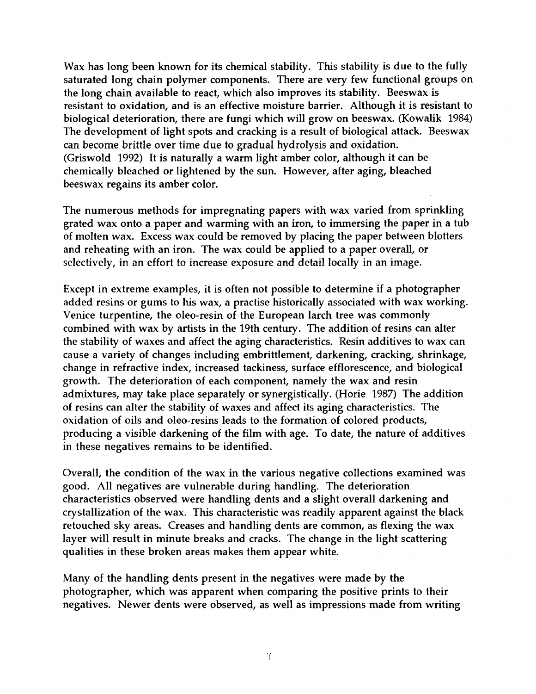Wax has long been known for its chemical stability. This stability is due to the fully saturated long chain polymer components. There are very few functional groups on the long chain available to react, which also improves its stability. Beeswax is resistant to oxidation, and is an effective moisture barrier. Although it is resistant to biological deterioration, there are fungi which will grow on beeswax. (Kowalik 1984) The development of light spots and cracking is a result of biological attack. Beeswax can become brittle over time due to gradual hydrolysis and oxidation. (Griswold 1992) It is naturally a warm light amber color, although it can be chemically bleached or lightened by the sun. However, after aging, bleached beeswax regains its amber color.

The numerous methods for impregnating papers with wax varied from sprinkling grated wax onto a paper and warming with an iron, to immersing the paper in a tub of molten wax. Excess wax could be removed by placing the paper between blotters and reheating with an iron. The wax could be applied to a paper overall, or selectively, in an effort to increase exposure and detail locally in an image.

Except in extreme examples, it is often not possible to determine if a photographer added resins or gums to his wax, a practise historically associated with wax working. Venice turpentine, the oleo-resin of the European larch tree was commonly combined with wax by artists in the 19th century. The addition of resins can alter the stability of waxes and affect the aging characteristics. Resin additives to wax can cause a variety of changes including embrittlement, darkening, cracking, shrinkage, change in refractive index, increased tackiness, surface efflorescence, and biological growth. The deterioration of each component, namely the wax and resin admixtures, may take place separately or synergistically. (Horie 1987) The addition of resins can alter the stability of waxes and affect its aging characteristics. The oxidation of oils and oleo-resins leads to the formation of colored products, producing a visible darkening of the film with age. To date, the nature of additives in these negatives remains to be identified.

Overall, the condition of the wax in the various negative collections examined was good. All negatives are vulnerable during handling. The deterioration characteristics observed were handling dents and a slight overall darkening and crystallization of the wax. This characteristic was readily apparent against the black retouched sky areas. Creases and handling dents are common, as flexing the wax layer will result in minute breaks and cracks. The change in the light scattering qualities in these broken areas makes them appear white.

Many of the handling dents present in the negatives were made by the photographer, which was apparent when comparing the positive prints to their negatives. Newer dents were observed, as well as impressions made from writing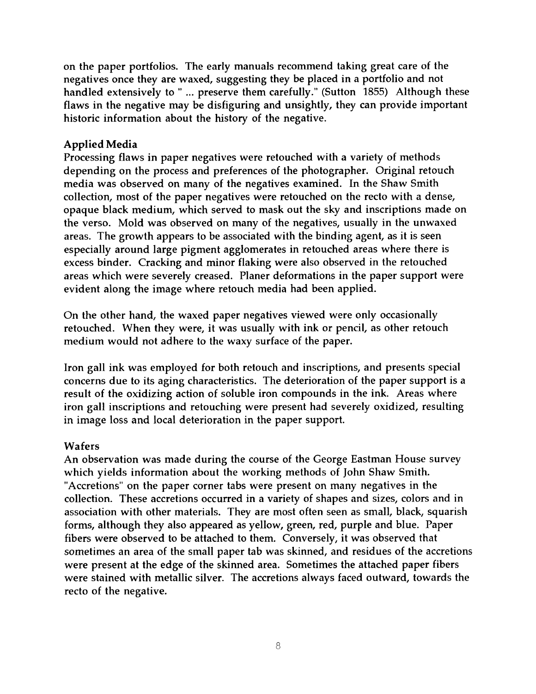on the paper portfolios. The early manuals recommend taking great care of the negatives once they are waxed, suggesting they be placed in a portfolio and not handled extensively to " ... preserve them carefully." (Sutton 1855) Although these flaws in the negative may be disfiguring and unsightly, they can provide important historic information about the history of the negative.

## Applied Media

Processing flaws in paper negatives were retouched with a variety of methods depending on the process and preferences of the photographer. Original retouch media was observed on many of the negatives examined. In the Shaw Smith collection, most of the paper negatives were retouched on the recto with a dense, opaque black medium, which served to mask out the sky and inscriptions made on the verso. Mold was observed on many of the negatives, usually in the unwaxed areas. The growth appears to be associated with the binding agent, as it is seen especially around large pigment agglomerates in retouched areas where there is excess binder. Cracking and minor flaking were also observed in the retouched areas which were severely creased. Planer deformations in the paper support were evident along the image where retouch media had been applied.

On the other hand, the waxed paper negatives viewed were only occasionally retouched. When they were, it was usually with ink or pencil, as other retouch medium would not adhere to the waxy surface of the paper.

Iron gall ink was employed for both retouch and inscriptions, and presents special concerns due to its aging characteristics. The deterioration of the paper support is a result of the oxidizing action of soluble iron compounds in the ink. Areas where iron gall inscriptions and retouching were present had severely oxidized, resulting in image loss and local deterioration in the paper support.

## Wafers

An observation was made during the course of the George Eastman House survey which yields information about the working methods of John Shaw Smith. "Accretions" on the paper corner tabs were present on many negatives in the collection. These accretions occurred in a variety of shapes and sizes, colors and in association with other materials. They are most often seen as small, black, squarish forms, although they also appeared as yellow, green, red, purple and blue. Paper fibers were observed to be attached to them. Conversely, it was observed that sometimes an area of the small paper tab was skinned, and residues of the accretions were present at the edge of the skinned area. Sometimes the attached paper fibers were stained with metallic silver. The accretions always faced outward, towards the recto of the negative.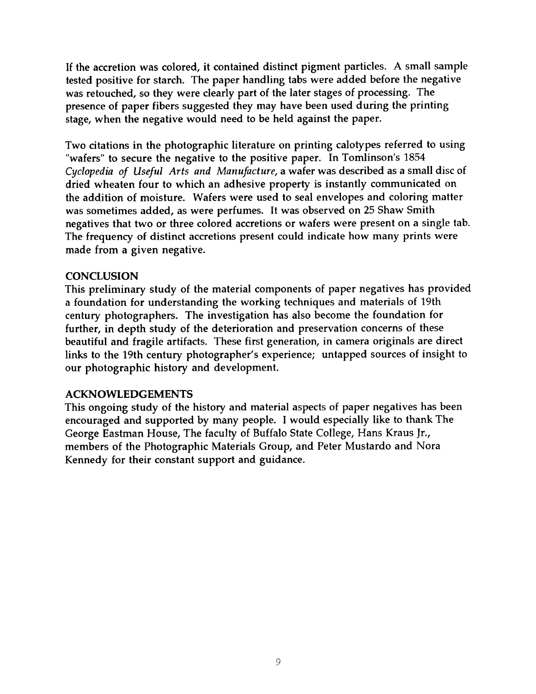If the accretion was colored, it contained distinct pigment particles. A small sample tested positive for starch. The paper handling tabs were added before the negative was retouched, so they were clearly part of the later stages of processing. The presence of paper fibers suggested they may have been used during the printing stage, when the negative would need to be held against the paper.

Two citations in the photographic literature on printing calotypes referred to using "wafers" to secure the negative to the positive paper. In Tomlinson's 1854 **Cyclopedia** *of Useful Arts* and *Manufacture,* a wafer was described as a small disc of dried wheaten four to which an adhesive property is instantly communicated on the addition of moisture. Wafers were used to seal envelopes and coloring matter was sometimes added, as were perfumes. It was observed on 25 Shaw Smith negatives that two or three colored accretions or wafers were present on a single tab. The frequency of distinct accretions present could indicate how many prints were made from a given negative.

## **CONCLUSION**

This preliminary study of the material components of paper negatives has provided a foundation for understanding the working techniques and materials of 19th century photographers. The investigation has also become the foundation for further, in depth study of the deterioration and preservation concerns of these beautiful and fragile artifacts. These first generation, in camera originals are direct links to the 19th century photographer's experience; untapped sources of insight to our photographic history and development.

## **ACKNOWLEDGEMENTS**

This ongoing study of the history and material aspects of paper negatives has been encouraged and supported by many people. I would especially like to thank The George Eastman House, The faculty of Buffalo State College, Hans Kraus Jr., members of the Photographic Materials Group, and Peter Mustardo and Nora Kennedy for their constant support and guidance.